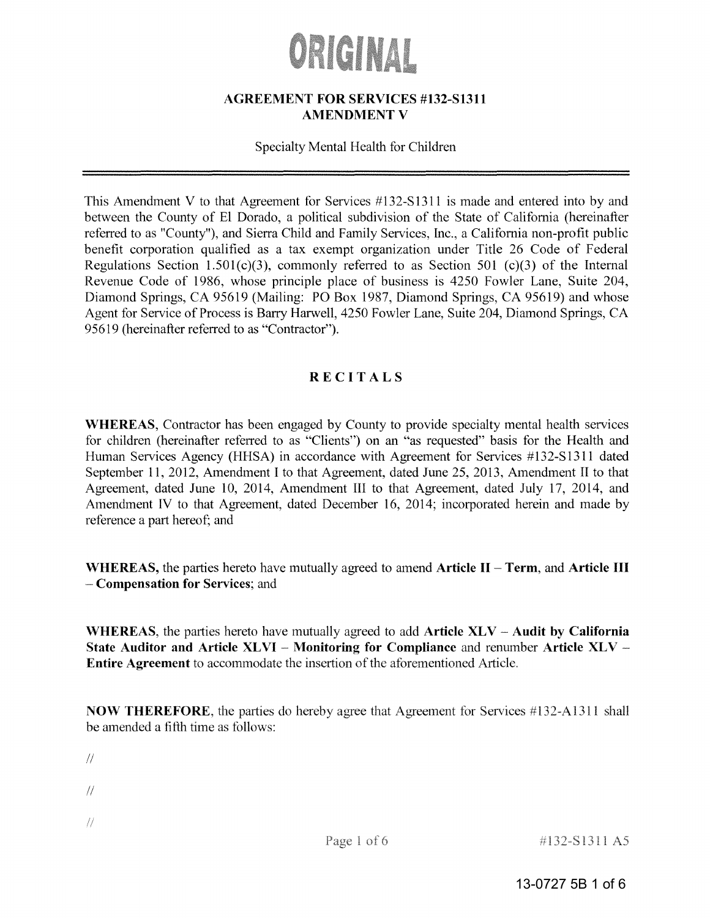# ORIGINAL

### **AGREEMENT FOR SERVICES #132-S1311 AMENDMENT V**

#### Specialty Mental Health for Children

This Amendment V to that Agreement for Services #132-S1311 is made and entered into by and between the County of El Dorado, a political subdivision of the State of California (hereinafter referred to as "County"), and Sierra Child and Family Services, Inc., a California non-profit public benefit corporation qualified as a tax exempt organization under Title 26 Code of Federal Regulations Section 1.501(c)(3), commonly referred to as Section 501 (c)(3) of the Internal Revenue Code of 1986, whose principle place of business is 4250 Fowler Lane, Suite 204, Diamond Springs, CA 95619 (Mailing: PO Box 1987, Diamond Springs, CA 95619) and whose Agent for Service of Process is Barry Harwell, 4250 Fowler Lane, Suite 204, Diamond Springs, CA 95619 (hereinafter referred to as "Contractor").

# **RECITALS**

**WHEREAS,** Contractor has been engaged by County to provide specialty mental health services for children (hereinafter referred to as "Clients") on an "as requested" basis for the Health and Human Services Agency (HHSA) in accordance with Agreement for Services #132-S1311 dated September 11, 2012, Amendment I to that Agreement, dated June 25, 2013, Amendment II to that Agreement, dated June 10, 2014, Amendment III to that Agreement, dated July 17, 2014, and Amendment IV to that Agreement, dated December 16, 2014; incorporated herein and made by reference a part hereof; and

**WHEREAS, the parties hereto have mutually agreed to amend Article II - Term, and Article III Compensation for Services;** and

**\VHEREAS,** the parties hereto have mutually agreed to add **Article XLV - Audit by California State Auditor and Article XL VI - Monitoring for Compliance** and renumber **Article XLV** - **Entire Agreement** to accommodate the insertion of the aforementioned Article.

**NOW THEREFORE,** the parties do hereby agree that Agreement for Services #l32-Al311 shall be amended a fifth time as follows:

 $\sqrt{2}$ 

 $\frac{1}{2}$ 

 $\frac{1}{2}$ 

#132-S1311 A5

13-0727 5B 1 of 6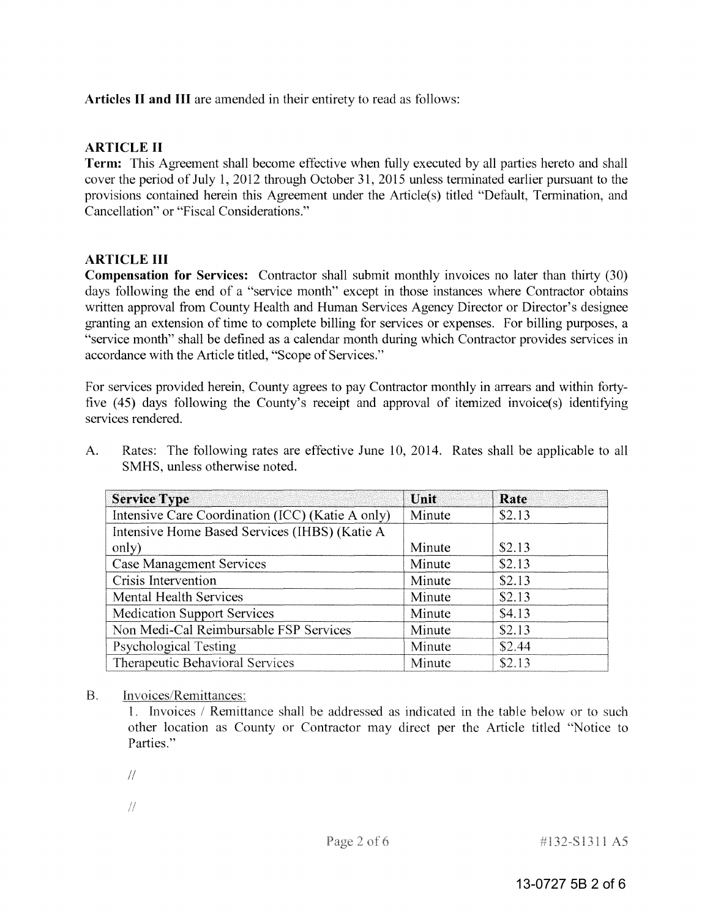# **Articles II and III** are amended in their entirety to read as follows:

# **ARTICLE II**

**Term:** This Agreement shall become effective when fully executed by all parties hereto and shall cover the period of July 1, 2012 through October 31, 2015 unless terminated earlier pursuant to the provisions contained herein this Agreement under the Article(s) titled "Default, Termination, and Cancellation" or "Fiscal Considerations."

# **ARTICLE III**

**Compensation for Services:** Contractor shall submit monthly invoices no later than thirty (30) days following the end of a "service month" except in those instances where Contractor obtains written approval from County Health and Human Services Agency Director or Director's designee granting an extension of time to complete billing for services or expenses. For billing purposes, a "service month" shall be defined as a calendar month during which Contractor provides services in accordance with the Article titled, "Scope of Services."

For services provided herein, County agrees to pay Contractor monthly in arrears and within fortyfive  $(45)$  days following the County's receipt and approval of itemized invoice(s) identifying services rendered.

A. Rates: The following rates are effective June 10, 2014. Rates shall be applicable to all SMHS, unless otherwise noted.

| <b>Service Type</b>                              | Unit   | Rate   |
|--------------------------------------------------|--------|--------|
| Intensive Care Coordination (ICC) (Katie A only) | Minute | \$2.13 |
| Intensive Home Based Services (IHBS) (Katie A    |        |        |
| only)                                            | Minute | \$2.13 |
| <b>Case Management Services</b>                  | Minute | \$2.13 |
| Crisis Intervention                              | Minute | \$2.13 |
| <b>Mental Health Services</b>                    | Minute | \$2.13 |
| <b>Medication Support Services</b>               | Minute | \$4.13 |
| Non Medi-Cal Reimbursable FSP Services           | Minute | \$2.13 |
| Psychological Testing                            | Minute | \$2.44 |
| Therapeutic Behavioral Services                  | Minute | \$2.13 |

#### Invoices/Remittances:  $B<sub>1</sub>$

1. Invoices / Remittance shall be addressed as indicated in the table below or to such other location as County or Contractor may direct per the Article titled "Notice to Parties."

 $\frac{1}{2}$ 

- 
- $\frac{1}{2}$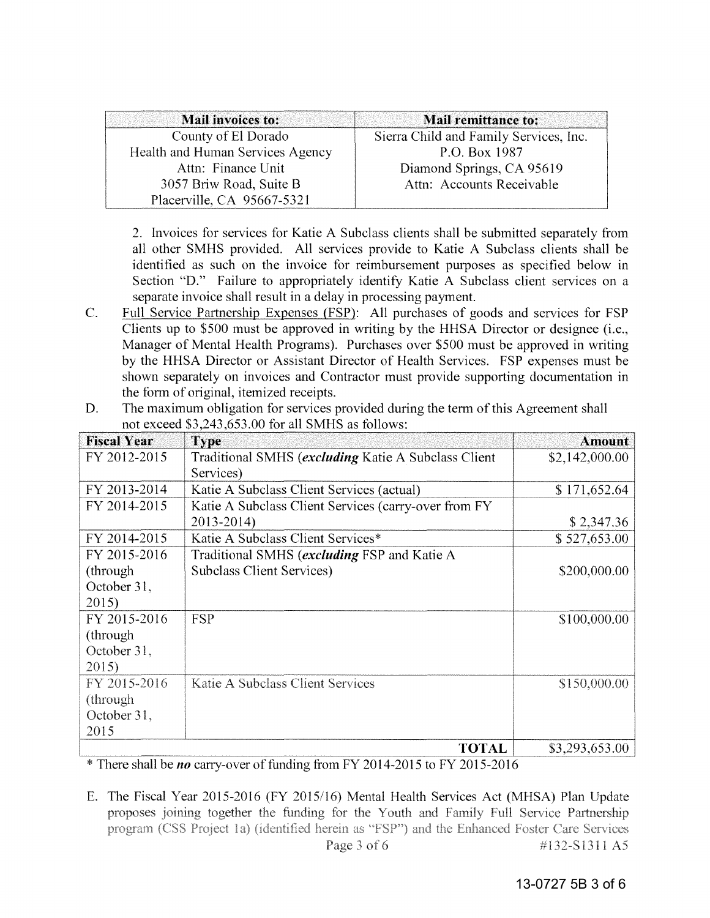| Mail invoices to:                | Mail remittance to:                    |
|----------------------------------|----------------------------------------|
| County of El Dorado              | Sierra Child and Family Services, Inc. |
| Health and Human Services Agency | P.O. Box 1987                          |
| Attn: Finance Unit               | Diamond Springs, CA 95619              |
| 3057 Briw Road, Suite B          | Attn: Accounts Receivable              |
| Placerville, CA 95667-5321       |                                        |

2. Invoices for services for Katie A Subclass clients shall be submitted separately from all other SMHS provided. All services provide to Katie A Subclass clients shall be identified as such on the invoice for reimbursement purposes as specified below in Section "D." Failure to appropriately identify Katie A Subclass client services on a separate invoice shall result in a delay in processing payment.

C. Full Service Partnership Expenses (FSP): All purchases of goods and services for FSP Clients up to \$500 must be approved in writing by the HHSA Director or designee (i.e., Manager of Mental Health Programs). Purchases over \$500 must be approved in writing by the HHSA Director or Assistant Director of Health Services. FSP expenses must be shown separately on invoices and Contractor must provide supporting documentation in the form of original, itemized receipts.

| <b>Fiscal Year</b> | <b>Type</b>                                          | <b>Amount</b>  |
|--------------------|------------------------------------------------------|----------------|
| FY 2012-2015       | Traditional SMHS (excluding Katie A Subclass Client  | \$2,142,000.00 |
|                    | Services)                                            |                |
| FY 2013-2014       | Katie A Subclass Client Services (actual)            | \$171,652.64   |
| FY 2014-2015       | Katie A Subclass Client Services (carry-over from FY |                |
|                    | 2013-2014)                                           | \$2,347.36     |
| FY 2014-2015       | Katie A Subclass Client Services*                    | \$527,653.00   |
| FY 2015-2016       | Traditional SMHS (excluding FSP and Katie A          |                |
| (through)          | <b>Subclass Client Services)</b>                     | \$200,000.00   |
| October 31,        |                                                      |                |
| 2015)              |                                                      |                |
| FY 2015-2016       | <b>FSP</b>                                           | \$100,000.00   |
| (through)          |                                                      |                |
| October 31,        |                                                      |                |
| 2015)              |                                                      |                |
| FY 2015-2016       | Katie A Subclass Client Services                     | \$150,000.00   |
| (through)          |                                                      |                |
| October 31,        |                                                      |                |
| 2015               |                                                      |                |
|                    | <b>TOTAL</b>                                         | \$3,293,653.00 |

D. The maximum obligation for services provided during the term of this Agreement shall not exceed \$3,243,653.00 for all SMHS as follows:

\*There *no* carry-over of funding from FY 2014-2015 to FY 2015-2016

E. The Fiscal Year 2015-2016 (FY 2015/16) Mental Health Services Act (MHSA) Plan Update proposes joining together the funding for the Youth and Family Full Service Partnership program (CSS Project 1a) (identified herein as "FSP") and the Enhanced Foster Care Services Page 3 of 6 #132-S1311 A5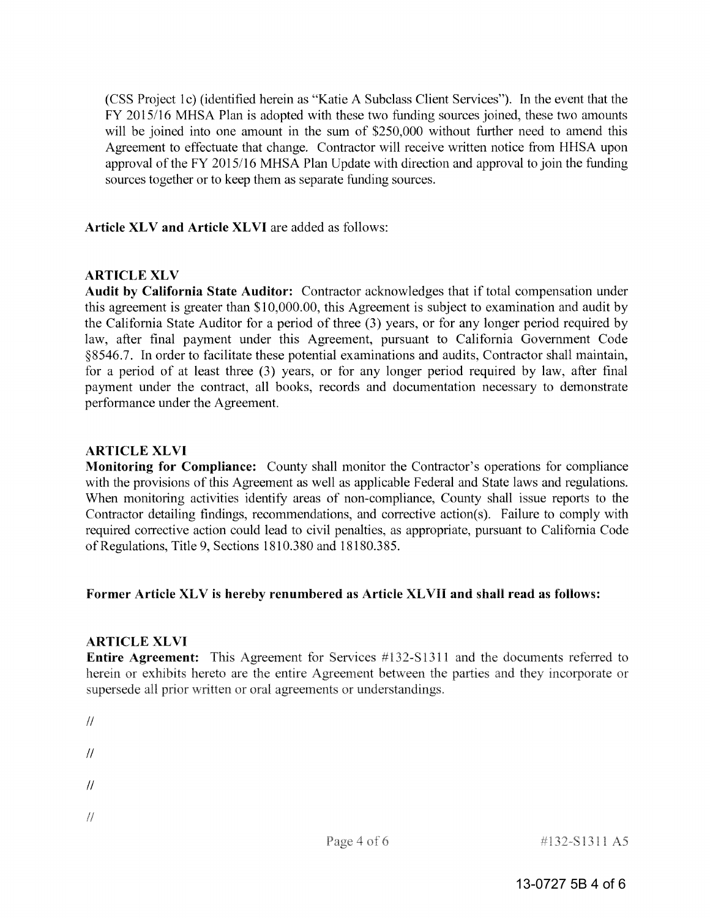(CSS Project 1c) (identified herein as "Katie A Subclass Client Services"). In the event that the FY 2015/16 MHSA Plan is adopted with these two funding sources joined, these two amounts will be joined into one amount in the sum of \$250,000 without further need to amend this Agreement to effectuate that change. Contractor will receive written notice from HHSA upon approval of the FY 2015/16 MHSA Plan Update with direction and approval to join the funding sources together or to keep them as separate funding sources.

Article **XLV** and Article **XLVI** are added as follows:

#### **ARTICLE XLV**

**Audit by California State Auditor:** Contractor acknowledges that if total compensation under this agreement is greater than \$10,000.00, this Agreement is subject to examination and audit by the California State Auditor for a period of three (3) years, or for any longer period required by law, after final payment under this Agreement, pursuant to California Government Code §8546.7. In order to facilitate these potential examinations and audits, Contractor shall maintain, for a period of at least three (3) years, or for any longer period required by law, after final payment under the contract, all books, records and documentation necessary to demonstrate performance under the Agreement.

### **ARTICLE XL VI**

**Monitoring for Compliance:** County shall monitor the Contractor's operations for compliance with the provisions of this Agreement as well as applicable Federal and State laws and regulations. When monitoring activities identify areas of non-compliance, County shall issue reports to the Contractor detailing findings, recommendations, and corrective action(s). Failure to comply with required corrective action could lead to civil penalties, as appropriate, pursuant to California Code ofRegulations, Title 9, Sections 1810.380 and 18180.385.

#### Former Article XLV is hereby renumbered as Article XLVII and shall read as follows:

#### **ARTICLE XLVI**

**Entire Agreement:** This Agreement for Services #132-S1311 and the documents referred to herein or exhibits hereto are the entire Agreement between the parties and they incorporate or supersede all prior written or oral agreements or understandings.

```
\overline{11}\mathcal{U}\mathcal{U}\frac{1}{2}
```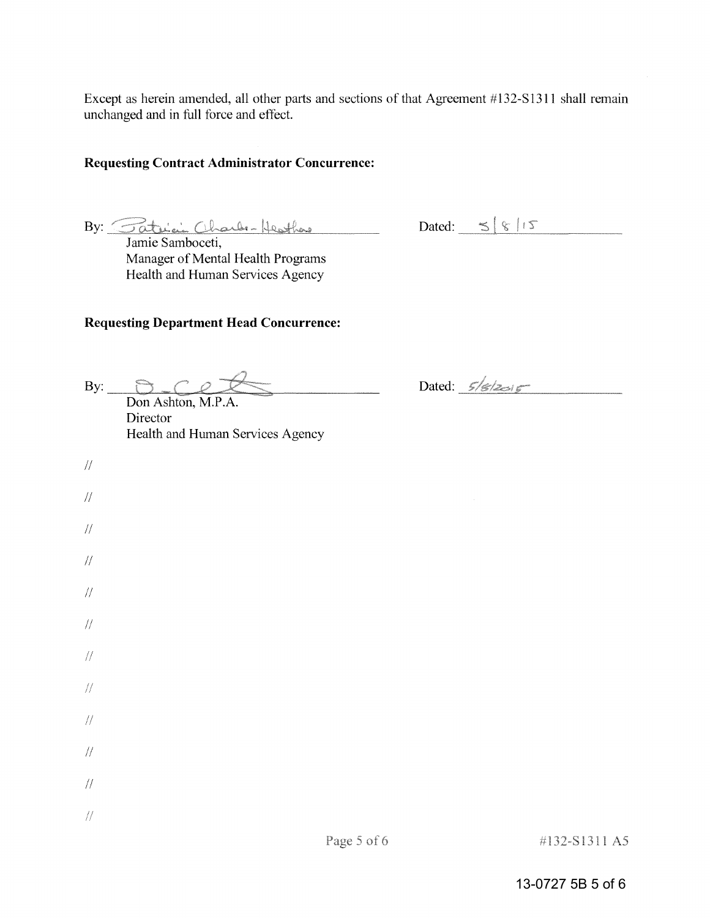Except as herein amended, all other parts and sections of that Agreement #132-S1311 shall remain unchanged and in full force and effect.

# **Requesting Contract Administrator Concurrence:**

By: <u>Fatrici Charles Heather</u> Dated:  $5815$ <br>Jamie Samboceti,

Manager of Mental Health Programs Health and Human Services Agency

# **Requesting Department Head Concurrence:**

| By:           | Don Ashton, M.P.A.<br>Director<br>Health and Human Services Agency | Dated: $5/6/2015$ |
|---------------|--------------------------------------------------------------------|-------------------|
| $/\!/$        |                                                                    |                   |
| $/\!/$        |                                                                    |                   |
| $\frac{1}{2}$ |                                                                    |                   |
| $/\!/$        |                                                                    |                   |
| $/\!/$        |                                                                    |                   |
| $/\!/$        |                                                                    |                   |
| $\frac{1}{2}$ |                                                                    |                   |
| $/\!/$        |                                                                    |                   |
| $/\!/$        |                                                                    |                   |
| $/\!/$        |                                                                    |                   |
| $/\!/$        |                                                                    |                   |
| $\sqrt{2}$    |                                                                    |                   |

# 13-0727 5B 5 of 6